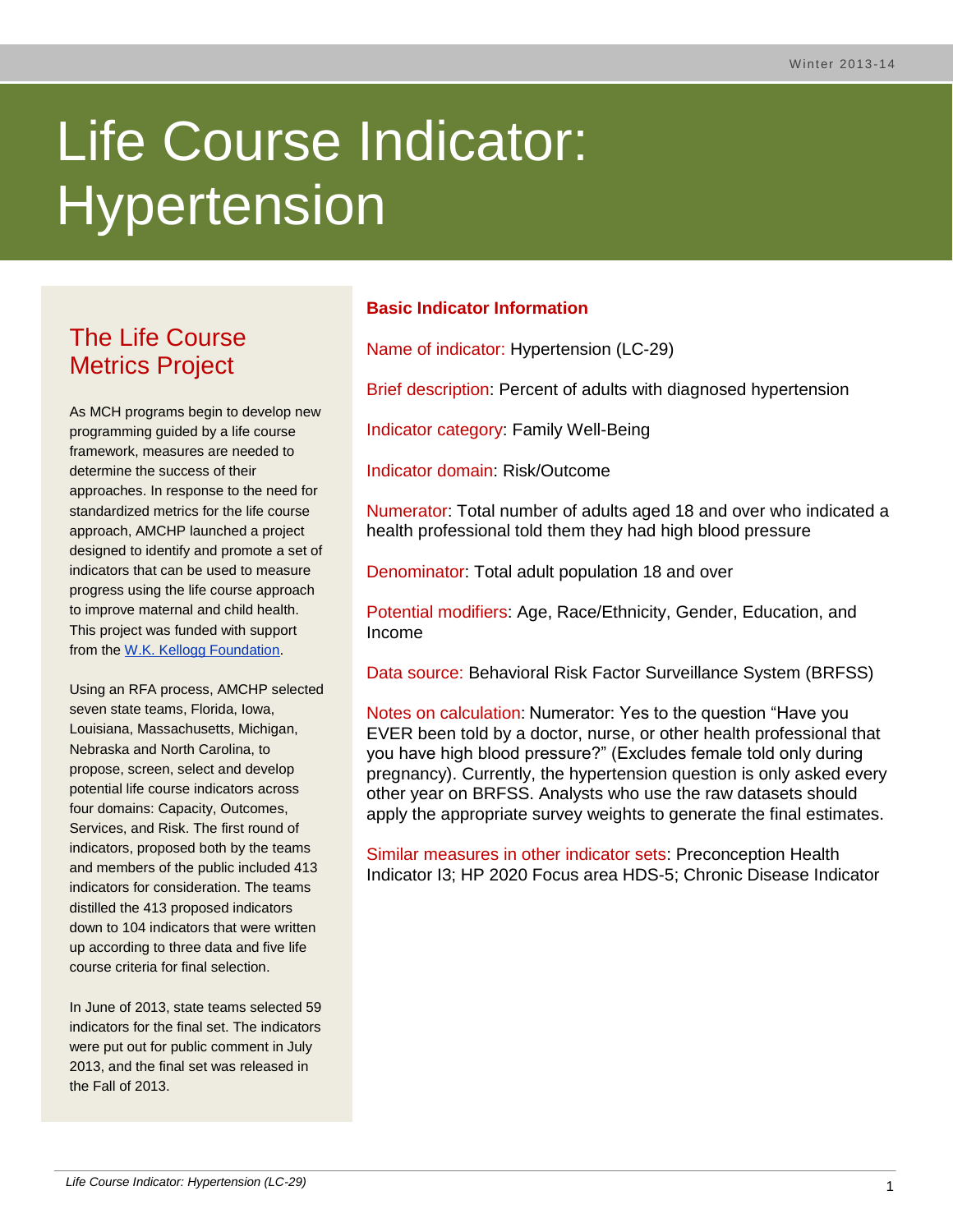# Life Course Indicator: **Hypertension**

# The Life Course Metrics Project

As MCH programs begin to develop new programming guided by a life course framework, measures are needed to determine the success of their approaches. In response to the need for standardized metrics for the life course approach, AMCHP launched a project designed to identify and promote a set of indicators that can be used to measure progress using the life course approach to improve maternal and child health. This project was funded with support from the [W.K. Kellogg Foundation.](http://www.wkkf.org/)

Using an RFA process, AMCHP selected seven state teams, Florida, Iowa, Louisiana, Massachusetts, Michigan, Nebraska and North Carolina, to propose, screen, select and develop potential life course indicators across four domains: Capacity, Outcomes, Services, and Risk. The first round of indicators, proposed both by the teams and members of the public included 413 indicators for consideration. The teams distilled the 413 proposed indicators down to 104 indicators that were written up according to three data and five life course criteria for final selection.

In June of 2013, state teams selected 59 indicators for the final set. The indicators were put out for public comment in July 2013, and the final set was released in the Fall of 2013.

# **Basic Indicator Information**

Name of indicator: Hypertension (LC-29)

Brief description: Percent of adults with diagnosed hypertension

Indicator category: Family Well-Being

Indicator domain: Risk/Outcome

Numerator: Total number of adults aged 18 and over who indicated a health professional told them they had high blood pressure

Denominator: Total adult population 18 and over

Potential modifiers: Age, Race/Ethnicity, Gender, Education, and Income

Data source: Behavioral Risk Factor Surveillance System (BRFSS)

Notes on calculation: Numerator: Yes to the question "Have you EVER been told by a doctor, nurse, or other health professional that you have high blood pressure?" (Excludes female told only during pregnancy). Currently, the hypertension question is only asked every other year on BRFSS. Analysts who use the raw datasets should apply the appropriate survey weights to generate the final estimates.

Similar measures in other indicator sets: Preconception Health Indicator I3; HP 2020 Focus area HDS-5; Chronic Disease Indicator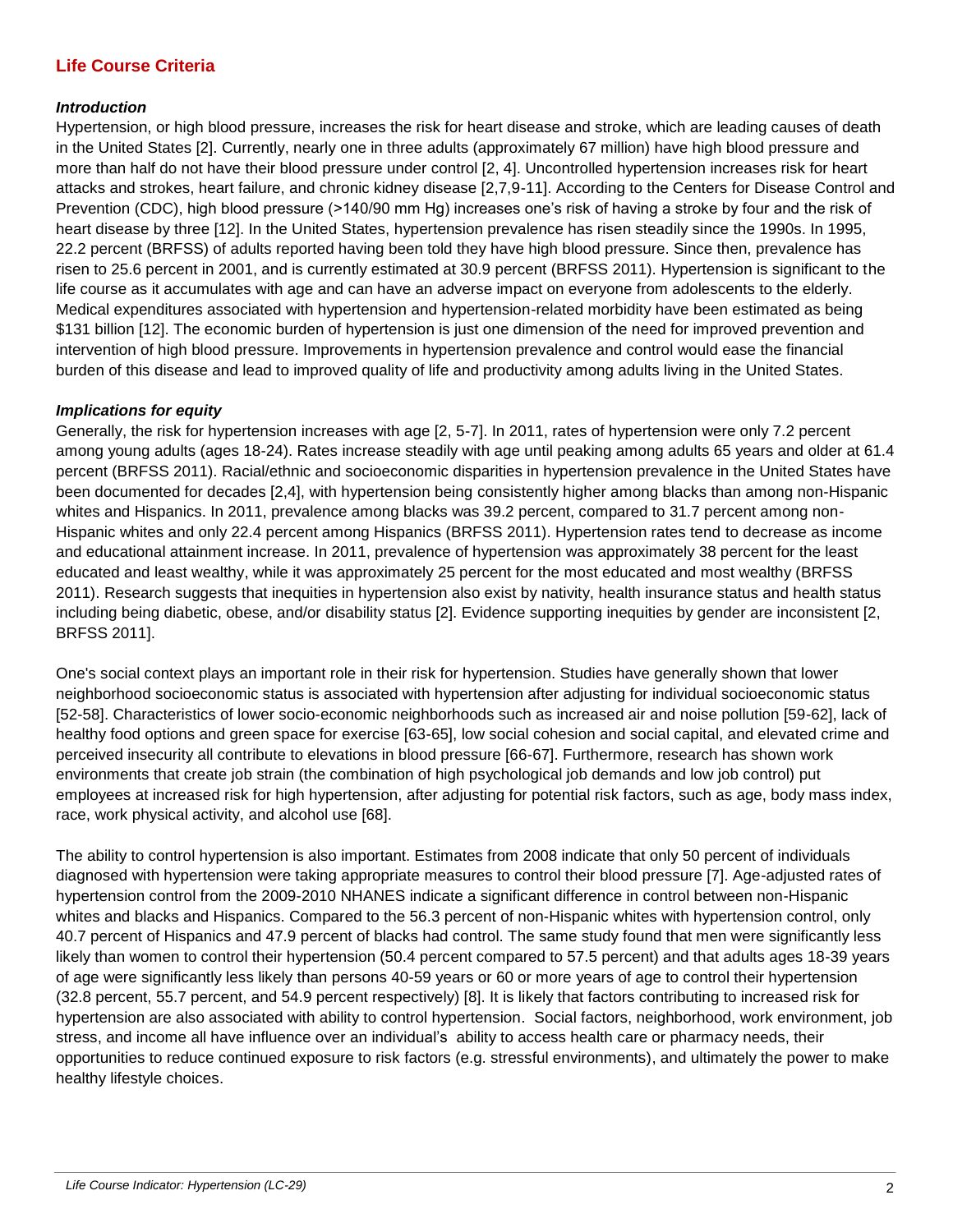# **Life Course Criteria**

#### *Introduction*

Hypertension, or high blood pressure, increases the risk for heart disease and stroke, which are leading causes of death in the United States [2]. Currently, nearly one in three adults (approximately 67 million) have high blood pressure and more than half do not have their blood pressure under control [2, 4]. Uncontrolled hypertension increases risk for heart attacks and strokes, heart failure, and chronic kidney disease [2,7,9-11]. According to the Centers for Disease Control and Prevention (CDC), high blood pressure (>140/90 mm Hg) increases one's risk of having a stroke by four and the risk of heart disease by three [12]. In the United States, hypertension prevalence has risen steadily since the 1990s. In 1995, 22.2 percent (BRFSS) of adults reported having been told they have high blood pressure. Since then, prevalence has risen to 25.6 percent in 2001, and is currently estimated at 30.9 percent (BRFSS 2011). Hypertension is significant to the life course as it accumulates with age and can have an adverse impact on everyone from adolescents to the elderly. Medical expenditures associated with hypertension and hypertension-related morbidity have been estimated as being \$131 billion [12]. The economic burden of hypertension is just one dimension of the need for improved prevention and intervention of high blood pressure. Improvements in hypertension prevalence and control would ease the financial burden of this disease and lead to improved quality of life and productivity among adults living in the United States.

#### *Implications for equity*

Generally, the risk for hypertension increases with age [2, 5-7]. In 2011, rates of hypertension were only 7.2 percent among young adults (ages 18-24). Rates increase steadily with age until peaking among adults 65 years and older at 61.4 percent (BRFSS 2011). Racial/ethnic and socioeconomic disparities in hypertension prevalence in the United States have been documented for decades [2,4], with hypertension being consistently higher among blacks than among non-Hispanic whites and Hispanics. In 2011, prevalence among blacks was 39.2 percent, compared to 31.7 percent among non-Hispanic whites and only 22.4 percent among Hispanics (BRFSS 2011). Hypertension rates tend to decrease as income and educational attainment increase. In 2011, prevalence of hypertension was approximately 38 percent for the least educated and least wealthy, while it was approximately 25 percent for the most educated and most wealthy (BRFSS 2011). Research suggests that inequities in hypertension also exist by nativity, health insurance status and health status including being diabetic, obese, and/or disability status [2]. Evidence supporting inequities by gender are inconsistent [2, BRFSS 2011].

One's social context plays an important role in their risk for hypertension. Studies have generally shown that lower neighborhood socioeconomic status is associated with hypertension after adjusting for individual socioeconomic status [52-58]. Characteristics of lower socio-economic neighborhoods such as increased air and noise pollution [59-62], lack of healthy food options and green space for exercise [63-65], low social cohesion and social capital, and elevated crime and perceived insecurity all contribute to elevations in blood pressure [66-67]. Furthermore, research has shown work environments that create job strain (the combination of high psychological job demands and low job control) put employees at increased risk for high hypertension, after adjusting for potential risk factors, such as age, body mass index, race, work physical activity, and alcohol use [68].

The ability to control hypertension is also important. Estimates from 2008 indicate that only 50 percent of individuals diagnosed with hypertension were taking appropriate measures to control their blood pressure [7]. Age-adjusted rates of hypertension control from the 2009-2010 NHANES indicate a significant difference in control between non-Hispanic whites and blacks and Hispanics. Compared to the 56.3 percent of non-Hispanic whites with hypertension control, only 40.7 percent of Hispanics and 47.9 percent of blacks had control. The same study found that men were significantly less likely than women to control their hypertension (50.4 percent compared to 57.5 percent) and that adults ages 18-39 years of age were significantly less likely than persons 40-59 years or 60 or more years of age to control their hypertension (32.8 percent, 55.7 percent, and 54.9 percent respectively) [8]. It is likely that factors contributing to increased risk for hypertension are also associated with ability to control hypertension. Social factors, neighborhood, work environment, job stress, and income all have influence over an individual's ability to access health care or pharmacy needs, their opportunities to reduce continued exposure to risk factors (e.g. stressful environments), and ultimately the power to make healthy lifestyle choices.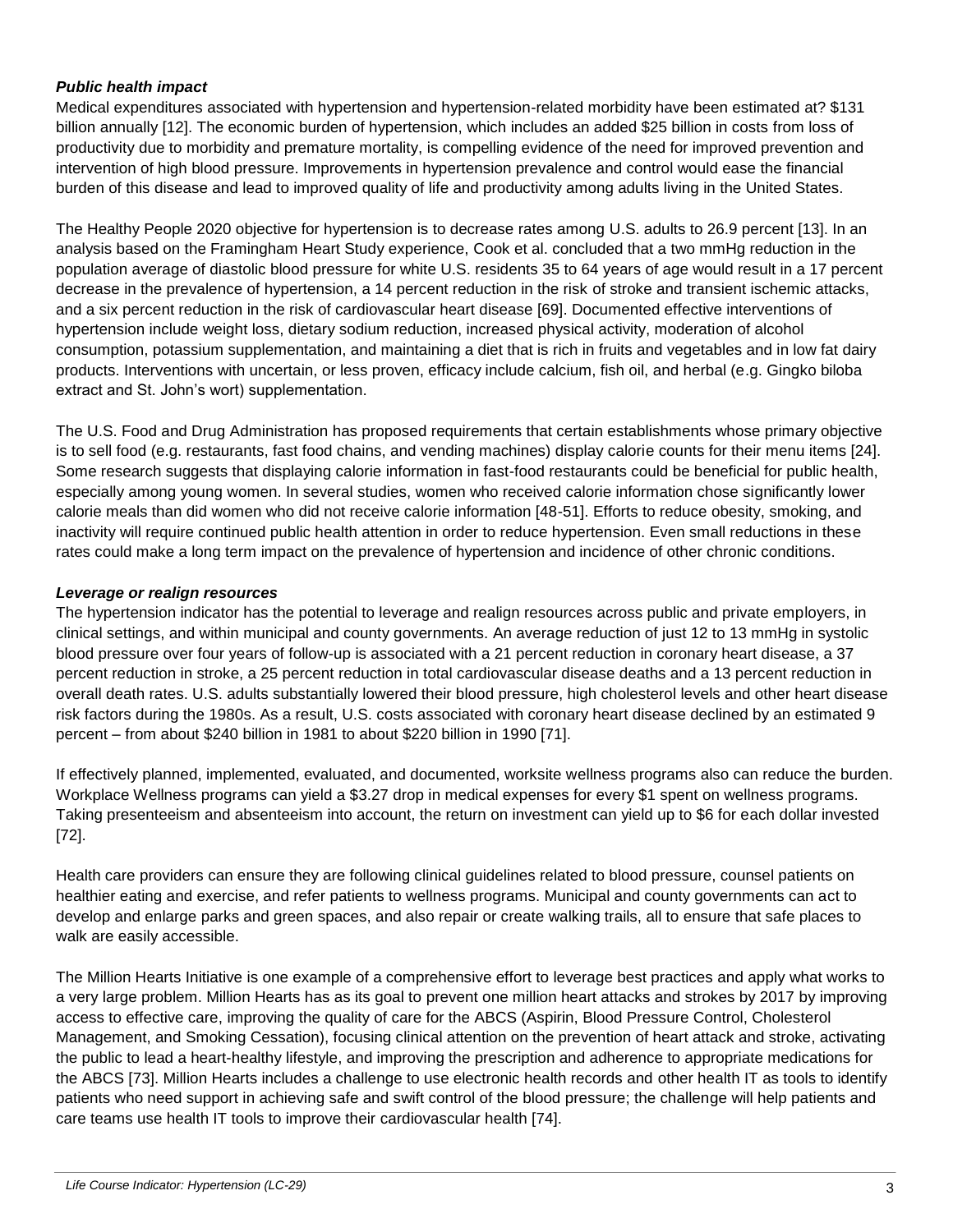#### *Public health impact*

Medical expenditures associated with hypertension and hypertension-related morbidity have been estimated at? \$131 billion annually [12]. The economic burden of hypertension, which includes an added \$25 billion in costs from loss of productivity due to morbidity and premature mortality, is compelling evidence of the need for improved prevention and intervention of high blood pressure. Improvements in hypertension prevalence and control would ease the financial burden of this disease and lead to improved quality of life and productivity among adults living in the United States.

The Healthy People 2020 objective for hypertension is to decrease rates among U.S. adults to 26.9 percent [13]. In an analysis based on the Framingham Heart Study experience, Cook et al. concluded that a two mmHg reduction in the population average of diastolic blood pressure for white U.S. residents 35 to 64 years of age would result in a 17 percent decrease in the prevalence of hypertension, a 14 percent reduction in the risk of stroke and transient ischemic attacks, and a six percent reduction in the risk of cardiovascular heart disease [69]. Documented effective interventions of hypertension include weight loss, dietary sodium reduction, increased physical activity, moderation of alcohol consumption, potassium supplementation, and maintaining a diet that is rich in fruits and vegetables and in low fat dairy products. Interventions with uncertain, or less proven, efficacy include calcium, fish oil, and herbal (e.g. Gingko biloba extract and St. John's wort) supplementation.

The U.S. Food and Drug Administration has proposed requirements that certain establishments whose primary objective is to sell food (e.g. restaurants, fast food chains, and vending machines) display calorie counts for their menu items [24]. Some research suggests that displaying calorie information in fast-food restaurants could be beneficial for public health, especially among young women. In several studies, women who received calorie information chose significantly lower calorie meals than did women who did not receive calorie information [48-51]. Efforts to reduce obesity, smoking, and inactivity will require continued public health attention in order to reduce hypertension. Even small reductions in these rates could make a long term impact on the prevalence of hypertension and incidence of other chronic conditions.

#### *Leverage or realign resources*

The hypertension indicator has the potential to leverage and realign resources across public and private employers, in clinical settings, and within municipal and county governments. An average reduction of just 12 to 13 mmHg in systolic blood pressure over four years of follow-up is associated with a 21 percent reduction in coronary heart disease, a 37 percent reduction in stroke, a 25 percent reduction in total cardiovascular disease deaths and a 13 percent reduction in overall death rates. U.S. adults substantially lowered their blood pressure, high cholesterol levels and other heart disease risk factors during the 1980s. As a result, U.S. costs associated with coronary heart disease declined by an estimated 9 percent – from about \$240 billion in 1981 to about \$220 billion in 1990 [71].

If effectively planned, implemented, evaluated, and documented, worksite wellness programs also can reduce the burden. Workplace Wellness programs can yield a \$3.27 drop in medical expenses for every \$1 spent on wellness programs. Taking presenteeism and absenteeism into account, the return on investment can yield up to \$6 for each dollar invested [72].

Health care providers can ensure they are following clinical guidelines related to blood pressure, counsel patients on healthier eating and exercise, and refer patients to wellness programs. Municipal and county governments can act to develop and enlarge parks and green spaces, and also repair or create walking trails, all to ensure that safe places to walk are easily accessible.

The Million Hearts Initiative is one example of a comprehensive effort to leverage best practices and apply what works to a very large problem. Million Hearts has as its goal to prevent one million heart attacks and strokes by 2017 by improving access to effective care, improving the quality of care for the ABCS (Aspirin, Blood Pressure Control, Cholesterol Management, and Smoking Cessation), focusing clinical attention on the prevention of heart attack and stroke, activating the public to lead a heart-healthy lifestyle, and improving the prescription and adherence to appropriate medications for the ABCS [73]. Million Hearts includes a challenge to use electronic health records and other health IT as tools to identify patients who need support in achieving safe and swift control of the blood pressure; the challenge will help patients and care teams use health IT tools to improve their cardiovascular health [74].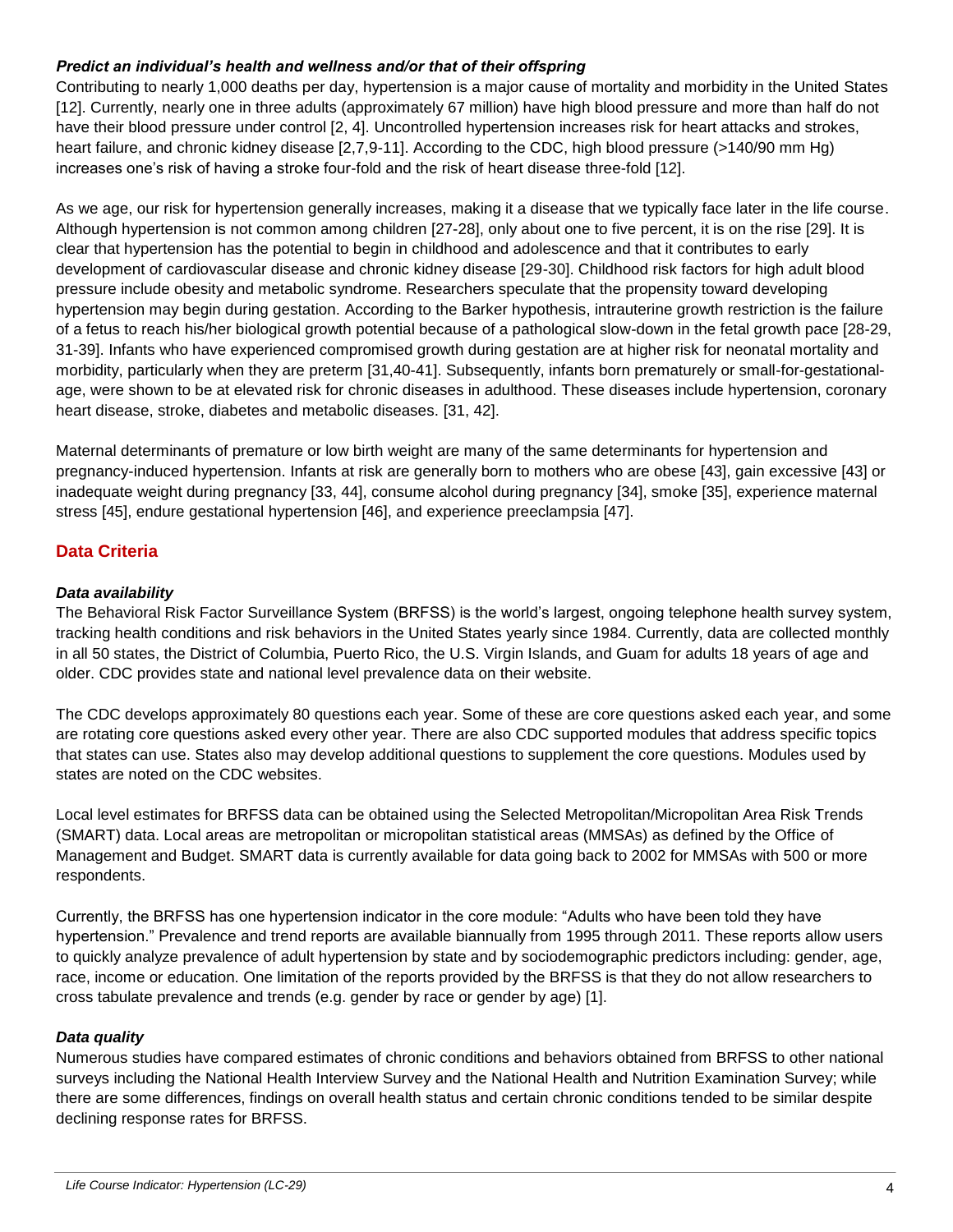#### *Predict an individual's health and wellness and/or that of their offspring*

Contributing to nearly 1,000 deaths per day, hypertension is a major cause of mortality and morbidity in the United States [12]. Currently, nearly one in three adults (approximately 67 million) have high blood pressure and more than half do not have their blood pressure under control [2, 4]. Uncontrolled hypertension increases risk for heart attacks and strokes, heart failure, and chronic kidney disease [2,7,9-11]. According to the CDC, high blood pressure (>140/90 mm Hg) increases one's risk of having a stroke four-fold and the risk of heart disease three-fold [12].

As we age, our risk for hypertension generally increases, making it a disease that we typically face later in the life course. Although hypertension is not common among children [27-28], only about one to five percent, it is on the rise [29]. It is clear that hypertension has the potential to begin in childhood and adolescence and that it contributes to early development of cardiovascular disease and chronic kidney disease [29-30]. Childhood risk factors for high adult blood pressure include obesity and metabolic syndrome. Researchers speculate that the propensity toward developing hypertension may begin during gestation. According to the Barker hypothesis, intrauterine growth restriction is the failure of a fetus to reach his/her biological growth potential because of a pathological slow-down in the fetal growth pace [28-29, 31-39]. Infants who have experienced compromised growth during gestation are at higher risk for neonatal mortality and morbidity, particularly when they are preterm [31,40-41]. Subsequently, infants born prematurely or small-for-gestationalage, were shown to be at elevated risk for chronic diseases in adulthood. These diseases include hypertension, coronary heart disease, stroke, diabetes and metabolic diseases. [31, 42].

Maternal determinants of premature or low birth weight are many of the same determinants for hypertension and pregnancy-induced hypertension. Infants at risk are generally born to mothers who are obese [43], gain excessive [43] or inadequate weight during pregnancy [33, 44], consume alcohol during pregnancy [34], smoke [35], experience maternal stress [45], endure gestational hypertension [46], and experience preeclampsia [47].

# **Data Criteria**

#### *Data availability*

The Behavioral Risk Factor Surveillance System (BRFSS) is the world's largest, ongoing telephone health survey system, tracking health conditions and risk behaviors in the United States yearly since 1984. Currently, data are collected monthly in all 50 states, the District of Columbia, Puerto Rico, the U.S. Virgin Islands, and Guam for adults 18 years of age and older. CDC provides state and national level prevalence data on their website.

The CDC develops approximately 80 questions each year. Some of these are core questions asked each year, and some are rotating core questions asked every other year. There are also CDC supported modules that address specific topics that states can use. States also may develop additional questions to supplement the core questions. Modules used by states are noted on the CDC websites.

Local level estimates for BRFSS data can be obtained using the Selected Metropolitan/Micropolitan Area Risk Trends (SMART) data. Local areas are metropolitan or micropolitan statistical areas (MMSAs) as defined by the Office of Management and Budget. SMART data is currently available for data going back to 2002 for MMSAs with 500 or more respondents.

Currently, the BRFSS has one hypertension indicator in the core module: "Adults who have been told they have hypertension." Prevalence and trend reports are available biannually from 1995 through 2011. These reports allow users to quickly analyze prevalence of adult hypertension by state and by sociodemographic predictors including: gender, age, race, income or education. One limitation of the reports provided by the BRFSS is that they do not allow researchers to cross tabulate prevalence and trends (e.g. gender by race or gender by age) [1].

#### *Data quality*

Numerous studies have compared estimates of chronic conditions and behaviors obtained from BRFSS to other national surveys including the National Health Interview Survey and the National Health and Nutrition Examination Survey; while there are some differences, findings on overall health status and certain chronic conditions tended to be similar despite declining response rates for BRFSS.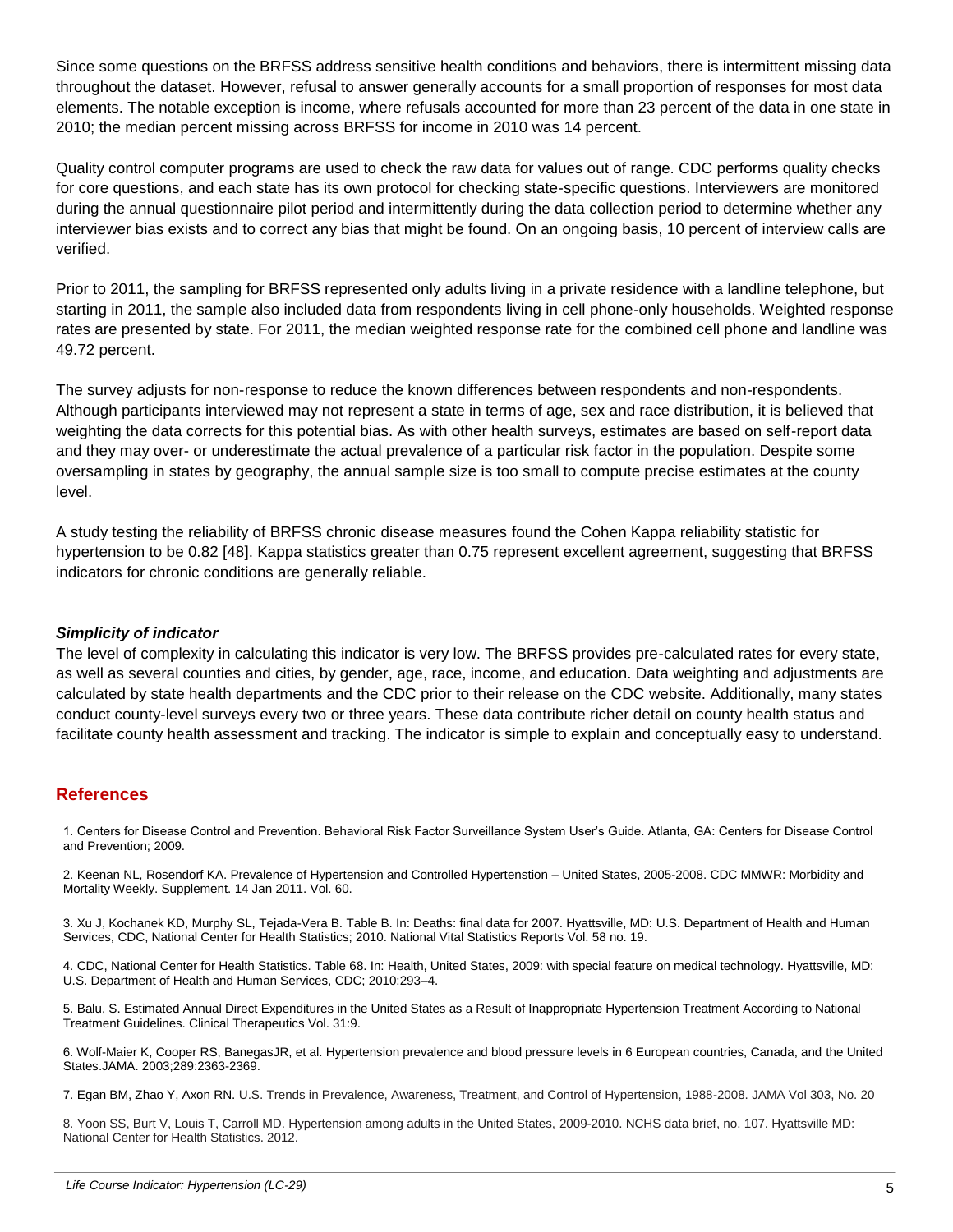Since some questions on the BRFSS address sensitive health conditions and behaviors, there is intermittent missing data throughout the dataset. However, refusal to answer generally accounts for a small proportion of responses for most data elements. The notable exception is income, where refusals accounted for more than 23 percent of the data in one state in 2010; the median percent missing across BRFSS for income in 2010 was 14 percent.

Quality control computer programs are used to check the raw data for values out of range. CDC performs quality checks for core questions, and each state has its own protocol for checking state-specific questions. Interviewers are monitored during the annual questionnaire pilot period and intermittently during the data collection period to determine whether any interviewer bias exists and to correct any bias that might be found. On an ongoing basis, 10 percent of interview calls are verified.

Prior to 2011, the sampling for BRFSS represented only adults living in a private residence with a landline telephone, but starting in 2011, the sample also included data from respondents living in cell phone-only households. Weighted response rates are presented by state. For 2011, the median weighted response rate for the combined cell phone and landline was 49.72 percent.

The survey adjusts for non-response to reduce the known differences between respondents and non-respondents. Although participants interviewed may not represent a state in terms of age, sex and race distribution, it is believed that weighting the data corrects for this potential bias. As with other health surveys, estimates are based on self-report data and they may over- or underestimate the actual prevalence of a particular risk factor in the population. Despite some oversampling in states by geography, the annual sample size is too small to compute precise estimates at the county level.

A study testing the reliability of BRFSS chronic disease measures found the Cohen Kappa reliability statistic for hypertension to be 0.82 [48]. Kappa statistics greater than 0.75 represent excellent agreement, suggesting that BRFSS indicators for chronic conditions are generally reliable.

#### *Simplicity of indicator*

The level of complexity in calculating this indicator is very low. The BRFSS provides pre-calculated rates for every state, as well as several counties and cities, by gender, age, race, income, and education. Data weighting and adjustments are calculated by state health departments and the CDC prior to their release on the CDC website. Additionally, many states conduct county-level surveys every two or three years. These data contribute richer detail on county health status and facilitate county health assessment and tracking. The indicator is simple to explain and conceptually easy to understand.

#### **References**

1. Centers for Disease Control and Prevention. Behavioral Risk Factor Surveillance System User's Guide. Atlanta, GA: Centers for Disease Control and Prevention; 2009.

2. Keenan NL, Rosendorf KA. Prevalence of Hypertension and Controlled Hypertenstion – United States, 2005-2008. CDC MMWR: Morbidity and Mortality Weekly. Supplement. 14 Jan 2011. Vol. 60.

3. Xu J, Kochanek KD, Murphy SL, Tejada-Vera B. Table B. In: Deaths: final data for 2007. Hyattsville, MD: U.S. Department of Health and Human Services, CDC, National Center for Health Statistics; 2010. National Vital Statistics Reports Vol. 58 no. 19.

4. CDC, National Center for Health Statistics. Table 68. In: Health, United States, 2009: with special feature on medical technology. Hyattsville, MD: U.S. Department of Health and Human Services, CDC; 2010:293–4.

5. Balu, S. Estimated Annual Direct Expenditures in the United States as a Result of Inappropriate Hypertension Treatment According to National Treatment Guidelines. Clinical Therapeutics Vol. 31:9.

6. Wolf-Maier K, Cooper RS, BanegasJR, et al. Hypertension prevalence and blood pressure levels in 6 European countries, Canada, and the United States.JAMA. 2003;289:2363-2369.

7. Egan BM, Zhao Y, Axon RN. U.S. Trends in Prevalence, Awareness, Treatment, and Control of Hypertension, 1988-2008. JAMA Vol 303, No. 20

8. Yoon SS, Burt V, Louis T, Carroll MD. Hypertension among adults in the United States, 2009-2010. NCHS data brief, no. 107. Hyattsville MD: National Center for Health Statistics. 2012.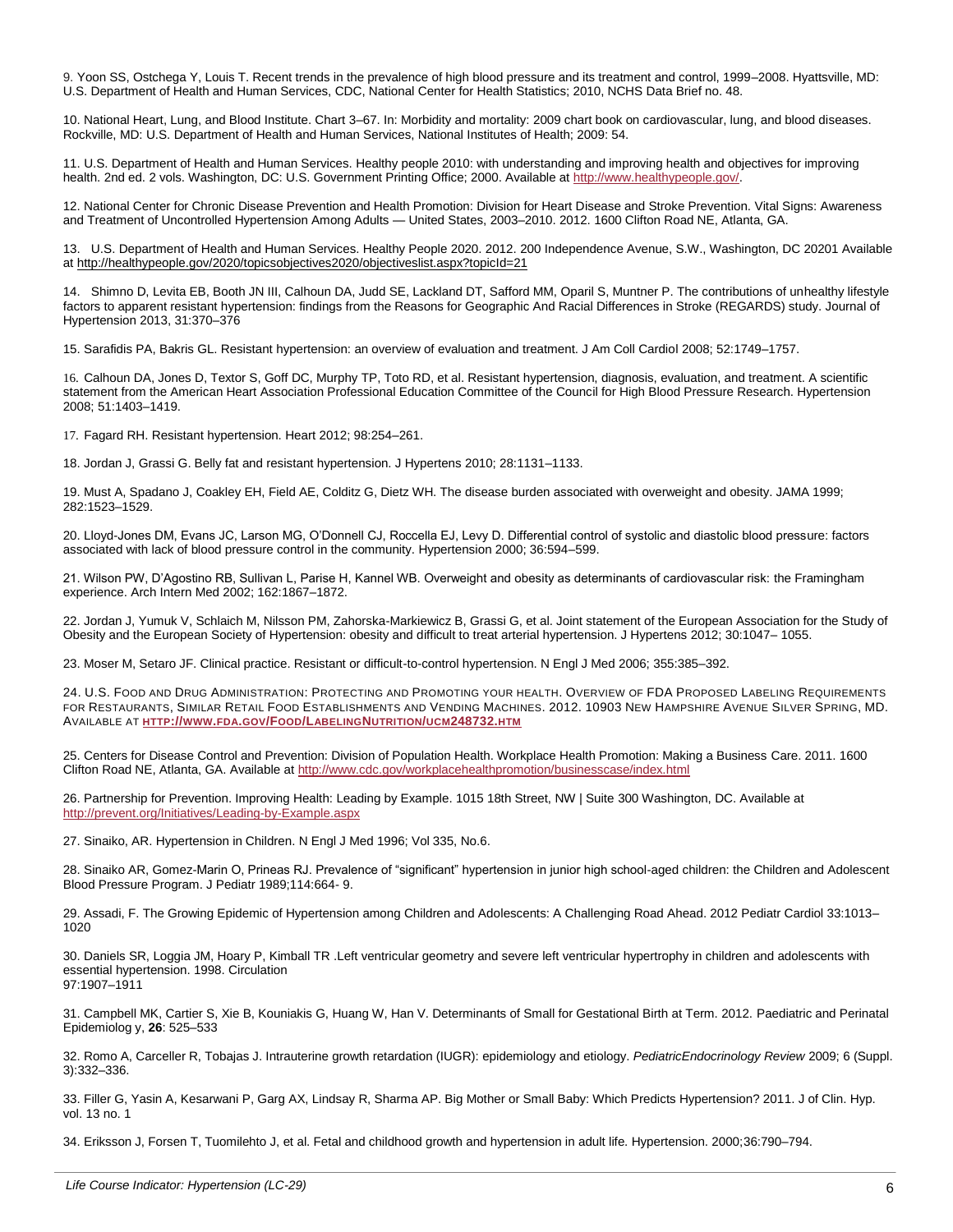9. Yoon SS, Ostchega Y, Louis T. Recent trends in the prevalence of high blood pressure and its treatment and control, 1999–2008. Hyattsville, MD: U.S. Department of Health and Human Services, CDC, National Center for Health Statistics; 2010, NCHS Data Brief no. 48.

10. National Heart, Lung, and Blood Institute. Chart 3–67. In: Morbidity and mortality: 2009 chart book on cardiovascular, lung, and blood diseases. Rockville, MD: U.S. Department of Health and Human Services, National Institutes of Health; 2009: 54.

11. U.S. Department of Health and Human Services. Healthy people 2010: with understanding and improving health and objectives for improving health. 2nd ed. 2 vols. Washington, DC: U.S. Government Printing Office; 2000. Available a[t http://www.healthypeople.gov/.](http://www.healthypeople.gov/)

12. National Center for Chronic Disease Prevention and Health Promotion: Division for Heart Disease and Stroke Prevention. Vital Signs: Awareness and Treatment of Uncontrolled Hypertension Among Adults — United States, 2003–2010. 2012. 1600 Clifton Road NE, Atlanta, GA.

13. U.S. Department of Health and Human Services. Healthy People 2020. 2012. 200 Independence Avenue, S.W., Washington, DC 20201 Available a[t http://healthypeople.gov/2020/topicsobjectives2020/objectiveslist.aspx?topicId=21](http://healthypeople.gov/2020/topicsobjectives2020/objectiveslist.aspx?topicId=21)

14. Shimno D, Levita EB, Booth JN III, Calhoun DA, Judd SE, Lackland DT, Safford MM, Oparil S, Muntner P. The contributions of unhealthy lifestyle factors to apparent resistant hypertension: findings from the Reasons for Geographic And Racial Differences in Stroke (REGARDS) study. Journal of Hypertension 2013, 31:370–376

15. Sarafidis PA, Bakris GL. Resistant hypertension: an overview of evaluation and treatment. J Am Coll Cardiol 2008; 52:1749–1757.

16. Calhoun DA, Jones D, Textor S, Goff DC, Murphy TP, Toto RD, et al. Resistant hypertension, diagnosis, evaluation, and treatment. A scientific statement from the American Heart Association Professional Education Committee of the Council for High Blood Pressure Research. Hypertension 2008; 51:1403–1419.

17. Fagard RH. Resistant hypertension. Heart 2012; 98:254–261.

18. Jordan J, Grassi G. Belly fat and resistant hypertension. J Hypertens 2010; 28:1131–1133.

19. Must A, Spadano J, Coakley EH, Field AE, Colditz G, Dietz WH. The disease burden associated with overweight and obesity. JAMA 1999; 282:1523–1529.

20. Lloyd-Jones DM, Evans JC, Larson MG, O'Donnell CJ, Roccella EJ, Levy D. Differential control of systolic and diastolic blood pressure: factors associated with lack of blood pressure control in the community. Hypertension 2000; 36:594–599.

21. Wilson PW, D'Agostino RB, Sullivan L, Parise H, Kannel WB. Overweight and obesity as determinants of cardiovascular risk: the Framingham experience. Arch Intern Med 2002; 162:1867–1872.

22. Jordan J, Yumuk V, Schlaich M, Nilsson PM, Zahorska-Markiewicz B, Grassi G, et al. Joint statement of the European Association for the Study of Obesity and the European Society of Hypertension: obesity and difficult to treat arterial hypertension. J Hypertens 2012; 30:1047– 1055.

23. Moser M, Setaro JF. Clinical practice. Resistant or difficult-to-control hypertension. N Engl J Med 2006; 355:385–392.

24. U.S. FOOD AND DRUG ADMINISTRATION: PROTECTING AND PROMOTING YOUR HEALTH. OVERVIEW OF FDA PROPOSED LABELING REQUIREMENTS FOR RESTAURANTS, SIMILAR RETAIL FOOD ESTABLISHMENTS AND VENDING MACHINES. 2012. 10903 NEW HAMPSHIRE AVENUE SILVER SPRING, MD. AVAILABLE AT **HTTP://WWW.FDA.GOV/FOOD/LABELINGNUTRITION/UCM[248732.](http://www.fda.gov/Food/LabelingNutrition/ucm248732.htm)HTM**

25. Centers for Disease Control and Prevention: Division of Population Health. Workplace Health Promotion: Making a Business Care. 2011. 1600 Clifton Road NE, Atlanta, GA. Available a[t http://www.cdc.gov/workplacehealthpromotion/businesscase/index.html](http://www.cdc.gov/workplacehealthpromotion/businesscase/index.html)

26. Partnership for Prevention. Improving Health: Leading by Example. 1015 18th Street, NW | Suite 300 Washington, DC. Available at <http://prevent.org/Initiatives/Leading-by-Example.aspx>

27. Sinaiko, AR. Hypertension in Children. N Engl J Med 1996; Vol 335, No.6.

28. Sinaiko AR, Gomez-Marin O, Prineas RJ. Prevalence of "significant" hypertension in junior high school-aged children: the Children and Adolescent Blood Pressure Program. J Pediatr 1989;114:664- 9.

29. Assadi, F. The Growing Epidemic of Hypertension among Children and Adolescents: A Challenging Road Ahead. 2012 Pediatr Cardiol 33:1013– 1020

30. Daniels SR, Loggia JM, Hoary P, Kimball TR .Left ventricular geometry and severe left ventricular hypertrophy in children and adolescents with essential hypertension. 1998. Circulation 97:1907–1911

31. Campbell MK, Cartier S, Xie B, Kouniakis G, Huang W, Han V. Determinants of Small for Gestational Birth at Term. 2012. Paediatric and Perinatal Epidemiolog y, **26**: 525–533

32. Romo A, Carceller R, Tobajas J. Intrauterine growth retardation (IUGR): epidemiology and etiology. *PediatricEndocrinology Review* 2009; 6 (Suppl. 3):332–336.

33. Filler G, Yasin A, Kesarwani P, Garg AX, Lindsay R, Sharma AP. Big Mother or Small Baby: Which Predicts Hypertension? 2011. J of Clin. Hyp. vol. 13 no. 1

34. Eriksson J, Forsen T, Tuomilehto J, et al. Fetal and childhood growth and hypertension in adult life. Hypertension. 2000;36:790–794.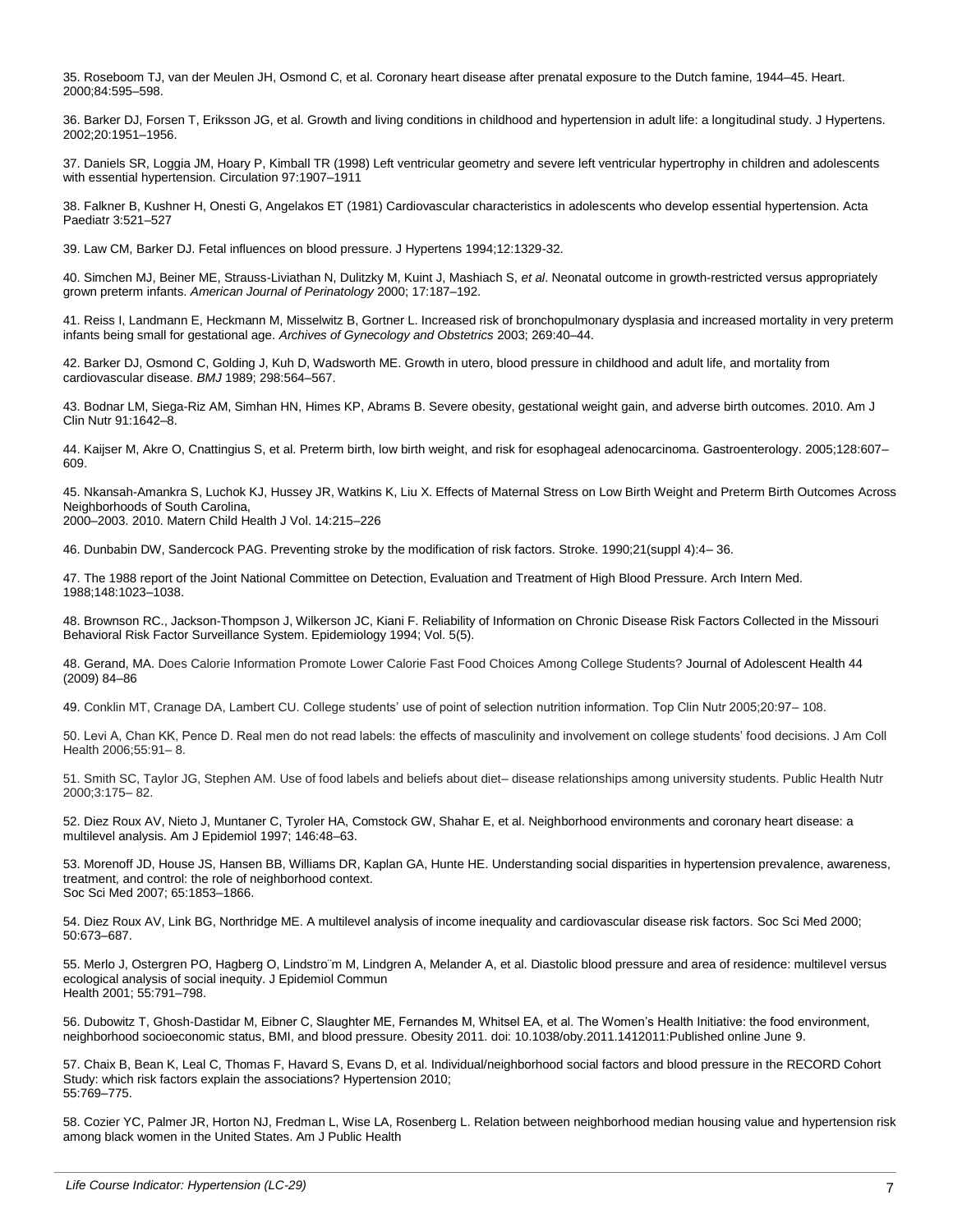35. Roseboom TJ, van der Meulen JH, Osmond C, et al. Coronary heart disease after prenatal exposure to the Dutch famine, 1944–45. Heart. 2000;84:595–598.

36. Barker DJ, Forsen T, Eriksson JG, et al. Growth and living conditions in childhood and hypertension in adult life: a longitudinal study. J Hypertens. 2002;20:1951–1956.

37. Daniels SR, Loggia JM, Hoary P, Kimball TR (1998) Left ventricular geometry and severe left ventricular hypertrophy in children and adolescents with essential hypertension. Circulation 97:1907–1911

38. Falkner B, Kushner H, Onesti G, Angelakos ET (1981) Cardiovascular characteristics in adolescents who develop essential hypertension. Acta Paediatr 3:521–527

39. Law CM, Barker DJ. Fetal influences on blood pressure. J Hypertens 1994;12:1329-32.

40. Simchen MJ, Beiner ME, Strauss-Liviathan N, Dulitzky M, Kuint J, Mashiach S, *et al*. Neonatal outcome in growth-restricted versus appropriately grown preterm infants. *American Journal of Perinatology* 2000; 17:187–192.

41. Reiss I, Landmann E, Heckmann M, Misselwitz B, Gortner L. Increased risk of bronchopulmonary dysplasia and increased mortality in very preterm infants being small for gestational age. *Archives of Gynecology and Obstetrics* 2003; 269:40–44.

42. Barker DJ, Osmond C, Golding J, Kuh D, Wadsworth ME. Growth in utero, blood pressure in childhood and adult life, and mortality from cardiovascular disease. *BMJ* 1989; 298:564–567.

43. Bodnar LM, Siega-Riz AM, Simhan HN, Himes KP, Abrams B. Severe obesity, gestational weight gain, and adverse birth outcomes. 2010. Am J Clin Nutr 91:1642–8.

44. Kaijser M, Akre O, Cnattingius S, et al. Preterm birth, low birth weight, and risk for esophageal adenocarcinoma. Gastroenterology. 2005;128:607– 609.

45. Nkansah-Amankra S, Luchok KJ, Hussey JR, Watkins K, Liu X. Effects of Maternal Stress on Low Birth Weight and Preterm Birth Outcomes Across Neighborhoods of South Carolina, 2000–2003. 2010. Matern Child Health J Vol. 14:215–226

46. Dunbabin DW, Sandercock PAG. Preventing stroke by the modification of risk factors. Stroke. 1990;21(suppl 4):4– 36.

47. The 1988 report of the Joint National Committee on Detection, Evaluation and Treatment of High Blood Pressure. Arch Intern Med. 1988;148:1023–1038.

48. Brownson RC., Jackson-Thompson J, Wilkerson JC, Kiani F. Reliability of Information on Chronic Disease Risk Factors Collected in the Missouri Behavioral Risk Factor Surveillance System. Epidemiology 1994; Vol. 5(5).

48. Gerand, MA. Does Calorie Information Promote Lower Calorie Fast Food Choices Among College Students? Journal of Adolescent Health 44 (2009) 84–86

49. Conklin MT, Cranage DA, Lambert CU. College students' use of point of selection nutrition information. Top Clin Nutr 2005;20:97– 108.

50. Levi A, Chan KK, Pence D. Real men do not read labels: the effects of masculinity and involvement on college students' food decisions. J Am Coll Health 2006;55:91– 8.

51. Smith SC, Taylor JG, Stephen AM. Use of food labels and beliefs about diet– disease relationships among university students. Public Health Nutr 2000;3:175– 82.

52. Diez Roux AV, Nieto J, Muntaner C, Tyroler HA, Comstock GW, Shahar E, et al. Neighborhood environments and coronary heart disease: a multilevel analysis. Am J Epidemiol 1997; 146:48–63.

53. Morenoff JD, House JS, Hansen BB, Williams DR, Kaplan GA, Hunte HE. Understanding social disparities in hypertension prevalence, awareness, treatment, and control: the role of neighborhood context. Soc Sci Med 2007; 65:1853–1866.

54. Diez Roux AV, Link BG, Northridge ME. A multilevel analysis of income inequality and cardiovascular disease risk factors. Soc Sci Med 2000; 50:673–687.

55. Merlo J, Ostergren PO, Hagberg O, Lindstro¨m M, Lindgren A, Melander A, et al. Diastolic blood pressure and area of residence: multilevel versus ecological analysis of social inequity. J Epidemiol Commun Health 2001; 55:791–798.

56. Dubowitz T, Ghosh-Dastidar M, Eibner C, Slaughter ME, Fernandes M, Whitsel EA, et al. The Women's Health Initiative: the food environment, neighborhood socioeconomic status, BMI, and blood pressure. Obesity 2011. doi: 10.1038/oby.2011.1412011:Published online June 9.

57. Chaix B, Bean K, Leal C, Thomas F, Havard S, Evans D, et al. Individual/neighborhood social factors and blood pressure in the RECORD Cohort Study: which risk factors explain the associations? Hypertension 2010; 55:769–775.

58. Cozier YC, Palmer JR, Horton NJ, Fredman L, Wise LA, Rosenberg L. Relation between neighborhood median housing value and hypertension risk among black women in the United States. Am J Public Health